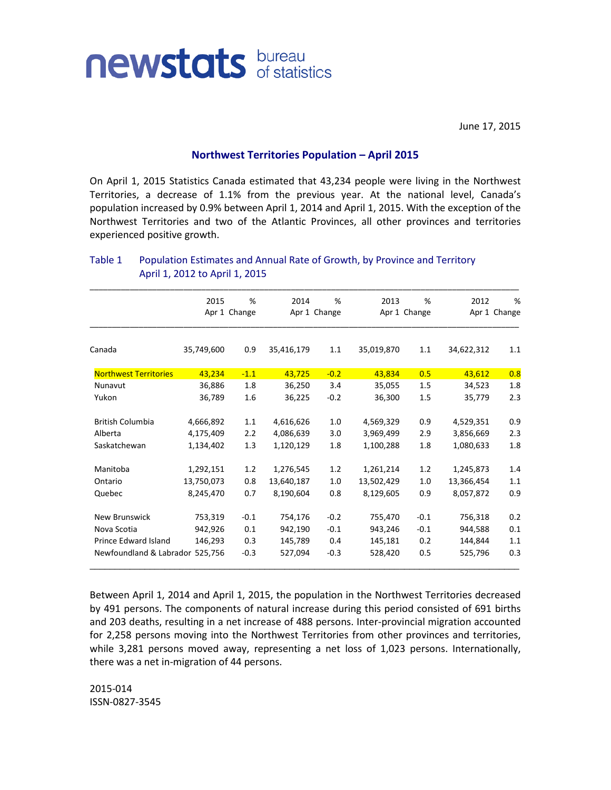

June 17, 2015

## **Northwest Territories Population – April 2015**

On April 1, 2015 Statistics Canada estimated that 43,234 people were living in the Northwest Territories, a decrease of 1.1% from the previous year. At the national level, Canada's population increased by 0.9% between April 1, 2014 and April 1, 2015. With the exception of the Northwest Territories and two of the Atlantic Provinces, all other provinces and territories experienced positive growth.

|                                 | 2015         | %       | 2014         | %       | 2013       | %            | 2012       | %            |
|---------------------------------|--------------|---------|--------------|---------|------------|--------------|------------|--------------|
|                                 | Apr 1 Change |         | Apr 1 Change |         |            | Apr 1 Change |            | Apr 1 Change |
| Canada                          | 35,749,600   | 0.9     | 35,416,179   | 1.1     | 35,019,870 | 1.1          | 34,622,312 | 1.1          |
| <b>Northwest Territories</b>    | 43,234       | $-1.1$  | 43,725       | $-0.2$  | 43,834     | 0.5          | 43,612     | 0.8          |
| Nunavut                         | 36,886       | 1.8     | 36,250       | 3.4     | 35,055     | 1.5          | 34,523     | 1.8          |
| Yukon                           | 36,789       | 1.6     | 36,225       | $-0.2$  | 36,300     | 1.5          | 35,779     | 2.3          |
| <b>British Columbia</b>         | 4,666,892    | 1.1     | 4,616,626    | 1.0     | 4,569,329  | 0.9          | 4,529,351  | 0.9          |
| Alberta                         | 4,175,409    | 2.2     | 4,086,639    | 3.0     | 3,969,499  | 2.9          | 3,856,669  | 2.3          |
| Saskatchewan                    | 1,134,402    | 1.3     | 1,120,129    | 1.8     | 1,100,288  | 1.8          | 1,080,633  | 1.8          |
| Manitoba                        | 1,292,151    | 1.2     | 1,276,545    | 1.2     | 1,261,214  | 1.2          | 1,245,873  | 1.4          |
| Ontario                         | 13,750,073   | 0.8     | 13,640,187   | 1.0     | 13,502,429 | 1.0          | 13,366,454 | 1.1          |
| Quebec                          | 8,245,470    | 0.7     | 8,190,604    | 0.8     | 8,129,605  | 0.9          | 8,057,872  | 0.9          |
| <b>New Brunswick</b>            | 753,319      | $-0.1$  | 754,176      | $-0.2$  | 755,470    | $-0.1$       | 756,318    | 0.2          |
| Nova Scotia                     | 942,926      | 0.1     | 942,190      | $-0.1$  | 943,246    | $-0.1$       | 944,588    | 0.1          |
| <b>Prince Edward Island</b>     | 146,293      | 0.3     | 145,789      | 0.4     | 145,181    | 0.2          | 144,844    | 1.1          |
| Newfoundland & Labrador 525,756 | $-0.3$       | 527,094 | $-0.3$       | 528,420 | 0.5        | 525,796      | 0.3        |              |

## Table 1 Population Estimates and Annual Rate of Growth, by Province and Territory April 1, 2012 to April 1, 2015

Between April 1, 2014 and April 1, 2015, the population in the Northwest Territories decreased by 491 persons. The components of natural increase during this period consisted of 691 births and 203 deaths, resulting in a net increase of 488 persons. Inter-provincial migration accounted for 2,258 persons moving into the Northwest Territories from other provinces and territories, while 3,281 persons moved away, representing a net loss of 1,023 persons. Internationally, there was a net in-migration of 44 persons.

2015-014 ISSN-0827-3545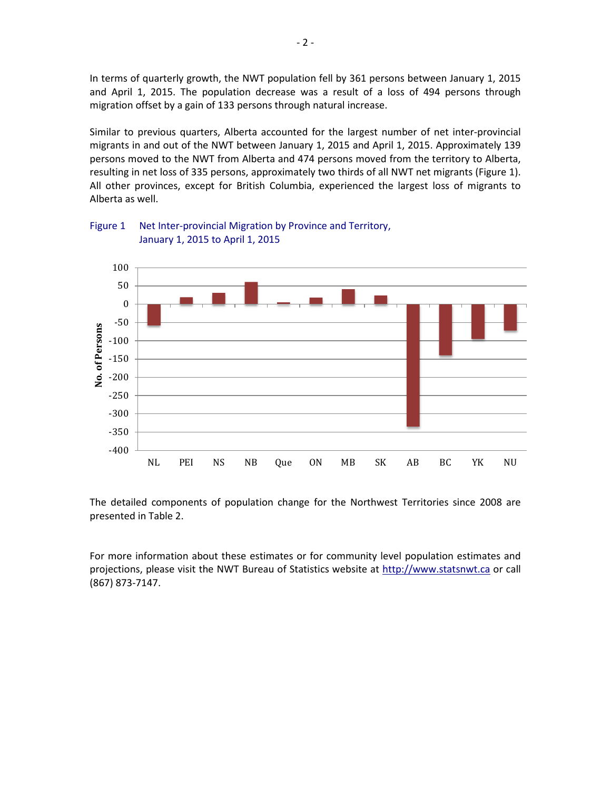In terms of quarterly growth, the NWT population fell by 361 persons between January 1, 2015 and April 1, 2015. The population decrease was a result of a loss of 494 persons through migration offset by a gain of 133 persons through natural increase.

Similar to previous quarters, Alberta accounted for the largest number of net inter-provincial migrants in and out of the NWT between January 1, 2015 and April 1, 2015. Approximately 139 persons moved to the NWT from Alberta and 474 persons moved from the territory to Alberta, resulting in net loss of 335 persons, approximately two thirds of all NWT net migrants (Figure 1). All other provinces, except for British Columbia, experienced the largest loss of migrants to Alberta as well.



Figure 1 Net Inter-provincial Migration by Province and Territory, January 1, 2015 to April 1, 2015

The detailed components of population change for the Northwest Territories since 2008 are presented in Table 2.

For more information about these estimates or for community level population estimates and projections, please visit the NWT Bureau of Statistics website at http://www.statsnwt.ca or call (867) 873-7147.